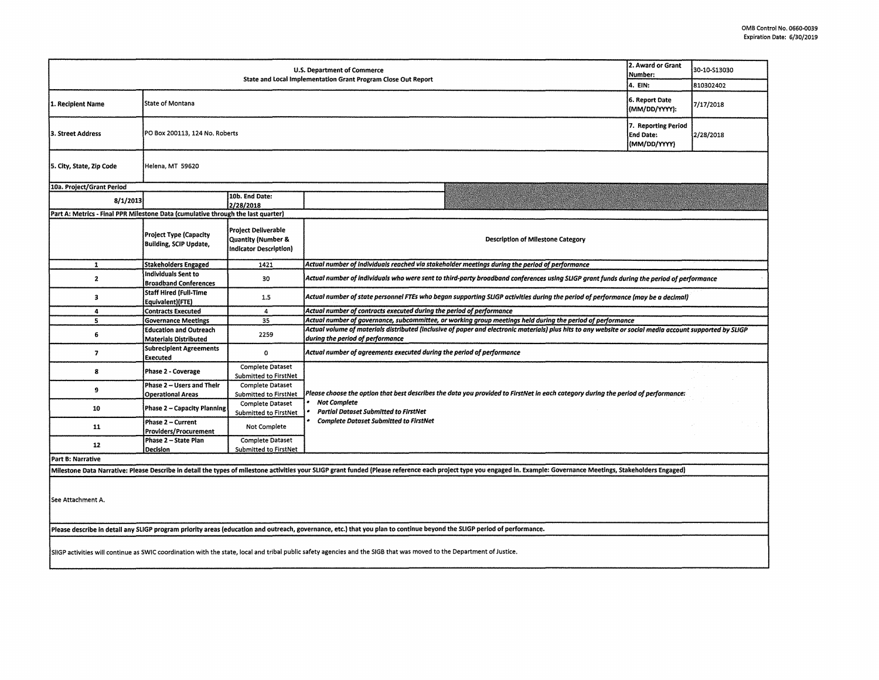| 2. Award or Grant<br><b>U.S. Department of Commerce</b><br>Number:<br>State and Local Implementation Grant Program Close Out Report                                     |                                                                |                                                                            |                                                                                                                                                                                                                       |           | 30-10-S13030 |  |  |  |  |
|-------------------------------------------------------------------------------------------------------------------------------------------------------------------------|----------------------------------------------------------------|----------------------------------------------------------------------------|-----------------------------------------------------------------------------------------------------------------------------------------------------------------------------------------------------------------------|-----------|--------------|--|--|--|--|
|                                                                                                                                                                         | 6. Report Date                                                 |                                                                            | 4. EIN:                                                                                                                                                                                                               | 810302402 |              |  |  |  |  |
| 1. Recipient Name                                                                                                                                                       | State of Montana                                               |                                                                            |                                                                                                                                                                                                                       |           | 7/17/2018    |  |  |  |  |
| 3. Street Address                                                                                                                                                       | PO Box 200113, 124 No. Roberts                                 | 7. Reporting Period<br><b>End Date:</b><br>(MM/DD/YYYY)                    | 2/28/2018                                                                                                                                                                                                             |           |              |  |  |  |  |
| 5. City, State, Zip Code                                                                                                                                                | Helena, MT 59620                                               |                                                                            |                                                                                                                                                                                                                       |           |              |  |  |  |  |
| 10a. Project/Grant Period                                                                                                                                               |                                                                |                                                                            |                                                                                                                                                                                                                       |           |              |  |  |  |  |
| 8/1/2013                                                                                                                                                                |                                                                | 10b. End Date:<br>2/28/2018                                                |                                                                                                                                                                                                                       |           |              |  |  |  |  |
| Part A: Metrics - Final PPR Milestone Data (cumulative through the last quarter)                                                                                        |                                                                |                                                                            |                                                                                                                                                                                                                       |           |              |  |  |  |  |
|                                                                                                                                                                         | <b>Project Type (Capacity</b><br><b>Building, SCIP Update,</b> | Project Deliverable<br>Quantity (Number &<br><b>Indicator Description)</b> | Description of Milestone Category                                                                                                                                                                                     |           |              |  |  |  |  |
| $\mathbf{1}$                                                                                                                                                            | <b>Stakeholders Engaged</b>                                    | 1421                                                                       | Actual number of individuals reached via stakeholder meetings during the period of performance                                                                                                                        |           |              |  |  |  |  |
| $\mathbf{z}$                                                                                                                                                            | Individuals Sent to<br><b>Broadband Conferences</b>            | 30                                                                         | Actual number of individuals who were sent to third-party broadband conferences using SLIGP grant funds during the period of performance                                                                              |           |              |  |  |  |  |
| з                                                                                                                                                                       | Staff Hired (Full-Time<br>Equivalent)(FTE)                     | 1.5                                                                        | Actual number of state personnel FTEs who began supporting SLIGP activities during the period of performance (may be a decimal)                                                                                       |           |              |  |  |  |  |
| 4                                                                                                                                                                       | <b>Contracts Executed</b>                                      | 4                                                                          | Actual number of contracts executed during the period of performance                                                                                                                                                  |           |              |  |  |  |  |
| 5                                                                                                                                                                       | <b>Governance Meetings</b>                                     | 35                                                                         | Actual number of governance, subcommittee, or working group meetings held during the period of performance                                                                                                            |           |              |  |  |  |  |
| 6                                                                                                                                                                       | <b>Education and Outreach</b><br>Materials Distributed         | 2259                                                                       | Actual volume of materials distributed (inclusive of paper and electronic materials) plus hits to any website or social media account supported by SLIGP<br>during the period of performance                          |           |              |  |  |  |  |
| $\overline{ }$                                                                                                                                                          | <b>Subrecipient Agreements</b><br>Executed                     | $\mathbf 0$                                                                | Actual number of agreements executed during the period of performance                                                                                                                                                 |           |              |  |  |  |  |
| 8                                                                                                                                                                       | Phase 2 - Coverage                                             | <b>Complete Dataset</b><br>Submitted to FirstNet                           |                                                                                                                                                                                                                       |           |              |  |  |  |  |
| 9                                                                                                                                                                       | Phase 2 - Users and Their                                      | <b>Complete Dataset</b>                                                    |                                                                                                                                                                                                                       |           |              |  |  |  |  |
|                                                                                                                                                                         | <b>Operational Areas</b>                                       | Submitted to FirstNet                                                      | Please choose the option that best describes the data you provided to FirstNet in each category during the period of performance:<br><b>Not Complete</b>                                                              |           |              |  |  |  |  |
| 10                                                                                                                                                                      | Phase 2 - Capacity Planning                                    | Complete Dataset                                                           | <b>Partial Dataset Submitted to FirstNet</b>                                                                                                                                                                          |           |              |  |  |  |  |
|                                                                                                                                                                         | Phase 2 - Current                                              | Submitted to FirstNet                                                      | <b>Complete Dataset Submitted to FirstNet</b>                                                                                                                                                                         |           |              |  |  |  |  |
| 11                                                                                                                                                                      | <b>Providers/Procurement</b>                                   | Not Complete                                                               |                                                                                                                                                                                                                       |           |              |  |  |  |  |
| 12                                                                                                                                                                      | Phase 2 - State Plan                                           | Complete Dataset                                                           |                                                                                                                                                                                                                       |           |              |  |  |  |  |
|                                                                                                                                                                         | <b>Decision</b>                                                | Submitted to FirstNet                                                      |                                                                                                                                                                                                                       |           |              |  |  |  |  |
| Part B: Narrative                                                                                                                                                       |                                                                |                                                                            |                                                                                                                                                                                                                       |           |              |  |  |  |  |
|                                                                                                                                                                         |                                                                |                                                                            | Milestone Data Narrative: Please Describe in detail the types of milestone activities your SLIGP grant funded (Please reference each project type you engaged in. Example: Governance Meetings, Stakeholders Engaged) |           |              |  |  |  |  |
| See Attachment A.                                                                                                                                                       |                                                                |                                                                            |                                                                                                                                                                                                                       |           |              |  |  |  |  |
| Please describe in detail any SLIGP program priority areas (education and outreach, governance, etc.) that you plan to continue beyond the SLIGP period of performance. |                                                                |                                                                            |                                                                                                                                                                                                                       |           |              |  |  |  |  |
| SilGP activities will continue as SWIC coordination with the state, local and tribal public safety agencies and the SIGB that was moved to the Department of Justice.   |                                                                |                                                                            |                                                                                                                                                                                                                       |           |              |  |  |  |  |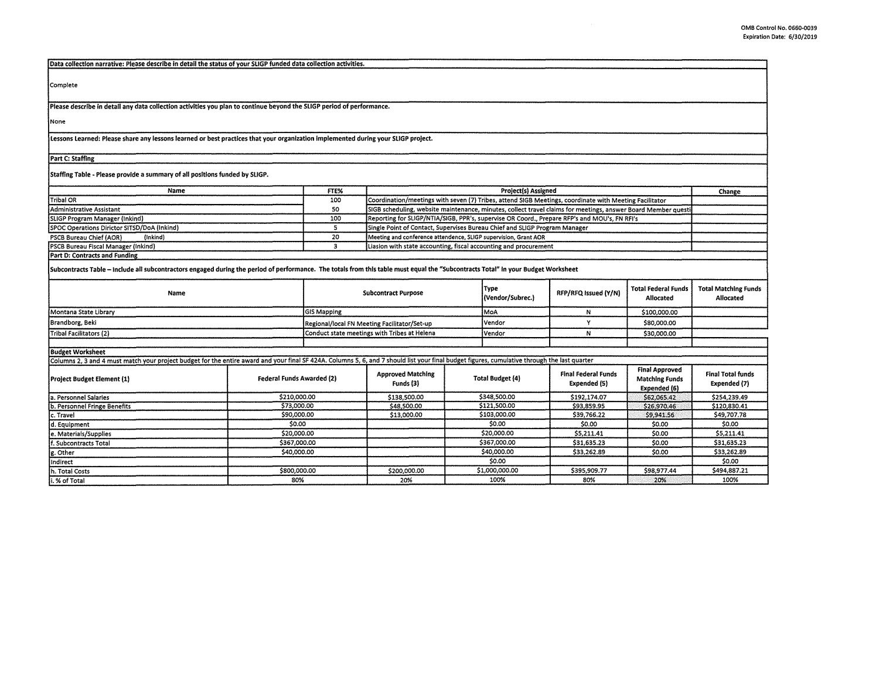| Data collection narrative: Please describe in detail the status of your SLIGP funded data collection activities.                                                                              |                                                                                               |                                                                  |                                                                                                               |     |                  |                            |                                         |                                          |  |
|-----------------------------------------------------------------------------------------------------------------------------------------------------------------------------------------------|-----------------------------------------------------------------------------------------------|------------------------------------------------------------------|---------------------------------------------------------------------------------------------------------------|-----|------------------|----------------------------|-----------------------------------------|------------------------------------------|--|
|                                                                                                                                                                                               |                                                                                               |                                                                  |                                                                                                               |     |                  |                            |                                         |                                          |  |
| Complete                                                                                                                                                                                      |                                                                                               |                                                                  |                                                                                                               |     |                  |                            |                                         |                                          |  |
|                                                                                                                                                                                               |                                                                                               |                                                                  |                                                                                                               |     |                  |                            |                                         |                                          |  |
|                                                                                                                                                                                               |                                                                                               |                                                                  |                                                                                                               |     |                  |                            |                                         |                                          |  |
| Please describe in detail any data collection activities you plan to continue beyond the SLIGP period of performance.                                                                         |                                                                                               |                                                                  |                                                                                                               |     |                  |                            |                                         |                                          |  |
| None                                                                                                                                                                                          |                                                                                               |                                                                  |                                                                                                               |     |                  |                            |                                         |                                          |  |
| Lessons Learned: Please share any lessons learned or best practices that your organization implemented during your SLIGP project.                                                             |                                                                                               |                                                                  |                                                                                                               |     |                  |                            |                                         |                                          |  |
| Part C: Staffing                                                                                                                                                                              |                                                                                               |                                                                  |                                                                                                               |     |                  |                            |                                         |                                          |  |
|                                                                                                                                                                                               |                                                                                               |                                                                  |                                                                                                               |     |                  |                            |                                         |                                          |  |
| Staffing Table - Please provide a summary of all positions funded by SLIGP.                                                                                                                   |                                                                                               |                                                                  |                                                                                                               |     |                  |                            |                                         |                                          |  |
| Name                                                                                                                                                                                          |                                                                                               | FTE%                                                             | Project(s) Assigned                                                                                           |     |                  |                            |                                         | Change                                   |  |
| Tribal OR                                                                                                                                                                                     |                                                                                               | 100                                                              | Coordination/meetings with seven (7) Tribes, attend SIGB Meetings, coordinate with Meeting Facilitator        |     |                  |                            |                                         |                                          |  |
| Administrative Assistant                                                                                                                                                                      |                                                                                               | 50                                                               | SIGB scheduling, website maintenance, minutes, collect travel claims for meetings, answer Board Member questi |     |                  |                            |                                         |                                          |  |
| SLIGP Program Manager (inkind)                                                                                                                                                                |                                                                                               | 100                                                              | Reporting for SLIGP/NTIA/SIGB, PPR's, supervise OR Coord., Prepare RFP's and MOU's, FN RFI's                  |     |                  |                            |                                         |                                          |  |
| SPOC Operations Dirictor SITSD/DoA (Inkind)                                                                                                                                                   |                                                                                               | $\overline{\mathbf{s}}$                                          | Single Point of Contact, Supervises Bureau Chief and SLIGP Program Manager                                    |     |                  |                            |                                         |                                          |  |
| PSCB Bureau Chief (AOR)<br>(inkind)                                                                                                                                                           |                                                                                               | 20                                                               | Meeting and conference attendence, SLIGP supervision, Grant AOR                                               |     |                  |                            |                                         |                                          |  |
| PSCB Bureau Fiscal Manager (Inkind)                                                                                                                                                           | 3                                                                                             | Liasion with state accounting, fiscal accounting and procurement |                                                                                                               |     |                  |                            |                                         |                                          |  |
| Part D: Contracts and Funding                                                                                                                                                                 |                                                                                               |                                                                  |                                                                                                               |     |                  |                            |                                         |                                          |  |
| Subcontracts Table - Include all subcontractors engaged during the period of performance. The totals from this table must equal the "Subcontracts Total" in your Budget Worksheet             |                                                                                               |                                                                  |                                                                                                               |     |                  |                            |                                         |                                          |  |
|                                                                                                                                                                                               |                                                                                               |                                                                  |                                                                                                               |     | Type             |                            |                                         |                                          |  |
| Name                                                                                                                                                                                          |                                                                                               |                                                                  | <b>Subcontract Purpose</b>                                                                                    |     | (Vendor/Subrec.) | RFP/RFQ Issued (Y/N)       | <b>Total Federal Funds</b><br>Allocated | <b>Total Matching Funds</b><br>Allocated |  |
|                                                                                                                                                                                               |                                                                                               |                                                                  |                                                                                                               |     |                  |                            |                                         |                                          |  |
| Montana State Library                                                                                                                                                                         | <b>GIS Mapping</b>                                                                            |                                                                  |                                                                                                               | MoA | N                | \$100,000.00               |                                         |                                          |  |
| Brandborg, Beki                                                                                                                                                                               |                                                                                               | Regional/local FN Meeting Facilitator/Set-up                     |                                                                                                               |     | Vendor           | Y                          | \$80,000.00                             |                                          |  |
| Tribal Facilitators (2)                                                                                                                                                                       |                                                                                               | Conduct state meetings with Tribes at Helena                     |                                                                                                               |     | Vendor           | N                          | \$30,000.00                             |                                          |  |
|                                                                                                                                                                                               |                                                                                               |                                                                  |                                                                                                               |     |                  |                            |                                         |                                          |  |
| <b>Budget Worksheet</b>                                                                                                                                                                       |                                                                                               |                                                                  |                                                                                                               |     |                  |                            |                                         |                                          |  |
| Columns 2, 3 and 4 must match your project budget for the entire award and your final SF 424A. Columns 5, 6, and 7 should list your final budget figures, cumulative through the last quarter |                                                                                               |                                                                  |                                                                                                               |     |                  |                            |                                         |                                          |  |
|                                                                                                                                                                                               |                                                                                               | <b>Approved Matching</b>                                         |                                                                                                               |     |                  | <b>Final Federal Funds</b> | <b>Final Approved</b>                   | <b>Final Total funds</b>                 |  |
| Project Budget Element (1)                                                                                                                                                                    | <b>Federal Funds Awarded (2)</b>                                                              |                                                                  | Funds (3)                                                                                                     |     | Total Budget (4) | Expended (5)               | <b>Matching Funds</b>                   | Expended (7)                             |  |
|                                                                                                                                                                                               |                                                                                               |                                                                  |                                                                                                               |     |                  |                            | Expended (6)                            |                                          |  |
| a. Personnel Salaries                                                                                                                                                                         | \$210,000.00                                                                                  |                                                                  | \$138,500.00                                                                                                  |     | \$348,500.00     | \$192,174.07               | \$62,065.42                             | \$254,239.49                             |  |
| b. Personnel Fringe Benefits                                                                                                                                                                  | \$73,000.00                                                                                   |                                                                  | \$48,500.00                                                                                                   |     | \$121,500.00     | \$93,859.95                | \$26,970.46                             | \$120,830.41                             |  |
| c. Travel                                                                                                                                                                                     | \$90,000.00                                                                                   |                                                                  | \$13,000.00                                                                                                   |     | \$103,000.00     | \$39,766.22                | 59,941.56                               | \$49,707.78                              |  |
| d. Equipment                                                                                                                                                                                  | \$0.00                                                                                        |                                                                  |                                                                                                               |     | \$0.00           | \$0.00                     | \$0.00                                  | \$0.00                                   |  |
| e. Materials/Supplies                                                                                                                                                                         | \$20,000.00                                                                                   |                                                                  |                                                                                                               |     | \$20,000.00      | \$5,211.41                 | \$0.00                                  | \$5,211.41                               |  |
| f. Subcontracts Total                                                                                                                                                                         | \$367,000.00                                                                                  |                                                                  |                                                                                                               |     | \$367,000.00     | \$31,635.23                | \$0.00                                  | \$31,635.23                              |  |
| g. Other                                                                                                                                                                                      | \$40,000.00                                                                                   |                                                                  |                                                                                                               |     | \$40,000.00      | \$33,262.89                | \$0.00                                  | \$33,262.89                              |  |
| Indirect                                                                                                                                                                                      |                                                                                               |                                                                  |                                                                                                               |     | \$0.00           |                            |                                         | \$0.00                                   |  |
| h. Total Costs                                                                                                                                                                                | \$1,000,000.00<br>\$395,909.77<br>\$494,887.21<br>\$800,000.00<br>\$200,000.00<br>\$98,977.44 |                                                                  |                                                                                                               |     |                  |                            |                                         |                                          |  |
| i. % of Total                                                                                                                                                                                 | 80%                                                                                           |                                                                  | 20%                                                                                                           |     | 100%             | 80%                        | 20%                                     | 100%                                     |  |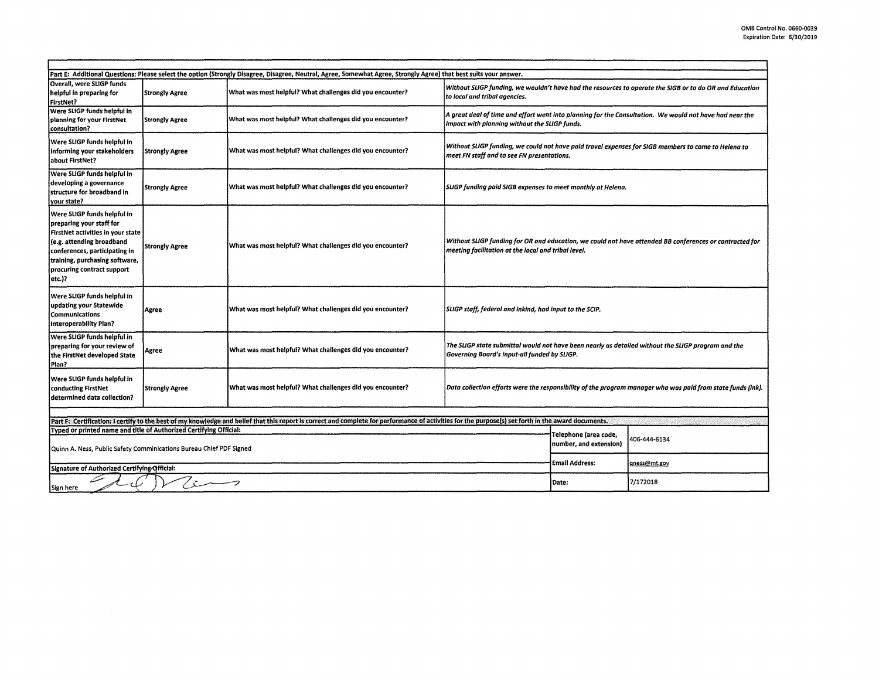|                                                                                                                                                                                                                                                                           |                       | Part E: Additional Questions: Please select the option (Strongly Disagree, Disagree, Neutral, Agree, Somewhat Agree, Strongly Agree) that best suits your answer. |                                                                                                                                                                |                                                                                                         |              |  |
|---------------------------------------------------------------------------------------------------------------------------------------------------------------------------------------------------------------------------------------------------------------------------|-----------------------|-------------------------------------------------------------------------------------------------------------------------------------------------------------------|----------------------------------------------------------------------------------------------------------------------------------------------------------------|---------------------------------------------------------------------------------------------------------|--------------|--|
| Overall, were SLIGP funds<br>helpful in preparing for<br>FirstNet?                                                                                                                                                                                                        | <b>Strongly Agree</b> | What was most helpful? What challenges did you encounter?                                                                                                         | to local and tribal agencies.                                                                                                                                  | Without SLIGP funding, we wouldn't have had the resources to operate the SIGB or to do OR and Education |              |  |
| Were SLIGP funds helpful in<br>planning for your FirstNet<br>consultation?                                                                                                                                                                                                | <b>Strongly Agree</b> | What was most helpful? What challenges did you encounter?                                                                                                         | A great deal of time and effort went into planning for the Consultation.  We would not have had near the<br>impact with planning without the SLIGP funds.      |                                                                                                         |              |  |
| Were SLIGP funds helpful in<br>informing your stakeholders<br>about FirstNet?                                                                                                                                                                                             | <b>Strongly Agree</b> | What was most helpful? What challenges did you encounter?                                                                                                         | Without SLIGP funding, we could not have paid travel expenses for SIGB members to come to Helena to<br>meet FN staff and to see FN presentations.              |                                                                                                         |              |  |
| Were SLIGP funds helpful in<br>developing a governance<br>structure for broadband in<br>vour state?                                                                                                                                                                       | <b>Strongly Agree</b> | What was most helpful? What challenges did you encounter?                                                                                                         | SLIGP funding paid SIGB expenses to meet monthly at Helena.                                                                                                    |                                                                                                         |              |  |
| Were SLIGP funds helpful in<br>preparing your staff for<br>FirstNet activities in your state<br>(e.g. attending broadband<br>conferences, participating in<br>training, purchasing software,<br>procuring contract support<br>etc.)?                                      | <b>Strongly Agree</b> | What was most helpful? What challenges did you encounter?                                                                                                         | Without SLIGP funding for OR and education, we could not have attended BB conferences or contracted for<br>meeting facilitation at the local and tribal level. |                                                                                                         |              |  |
| Were SLIGP funds helpful in<br>updating your Statewide<br><b>Communications</b><br><b>Interoperability Plan?</b>                                                                                                                                                          | Agree                 | What was most helpful? What challenges did you encounter?                                                                                                         | SLIGP staff, federal and inkind, had input to the SCIP.                                                                                                        |                                                                                                         |              |  |
| Were SLIGP funds helpful in<br>preparing for your review of<br>the FirstNet developed State<br>Plan?                                                                                                                                                                      | Agree                 | What was most helpful? What challenges did you encounter?                                                                                                         | The SLIGP state submittal would not have been nearly as detailed without the SLIGP program and the<br>Governing Board's input-all funded by SLIGP.             |                                                                                                         |              |  |
| Were SLIGP funds helpful in<br>conducting FirstNet<br>determined data collection?                                                                                                                                                                                         | <b>Strongly Agree</b> | What was most helpful? What challenges did you encounter?                                                                                                         | Data collection efforts were the responsibility of the program manager who was paid from state funds (ink).                                                    |                                                                                                         |              |  |
|                                                                                                                                                                                                                                                                           |                       |                                                                                                                                                                   |                                                                                                                                                                |                                                                                                         |              |  |
| Part F: Certification: I certify to the best of my knowledge and belief that this report is correct and complete for performance of activities for the purpose(s) set forth in the award documents.<br>Typed or printed name and title of Authorized Certifying Official: |                       |                                                                                                                                                                   |                                                                                                                                                                |                                                                                                         |              |  |
| Quinn A. Ness, Public Safety Comminications Bureau Chief PDF Signed<br>Signature of Authorized Certifying Official:                                                                                                                                                       |                       |                                                                                                                                                                   |                                                                                                                                                                | Telephone (area code,<br>number, and extension)                                                         | 406-444-6134 |  |
|                                                                                                                                                                                                                                                                           |                       |                                                                                                                                                                   |                                                                                                                                                                | Email Address:                                                                                          | gness@mt.gov |  |
| سسسست /<br>Sign here                                                                                                                                                                                                                                                      |                       |                                                                                                                                                                   |                                                                                                                                                                |                                                                                                         | 7/172018     |  |